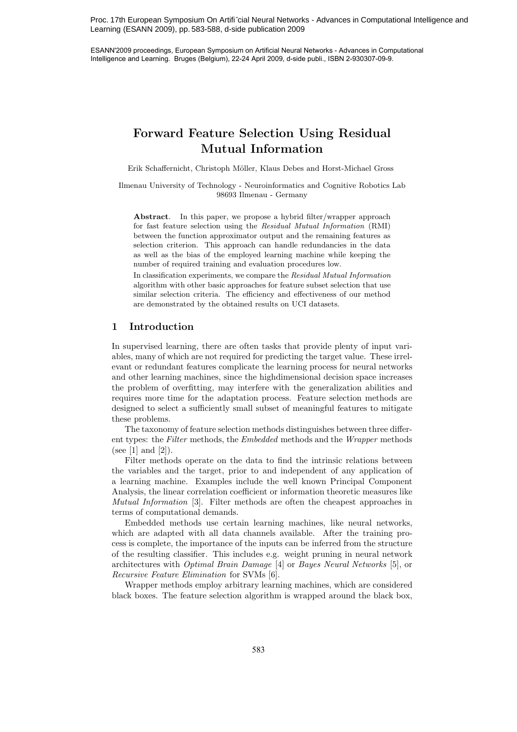Proc. 17th European Symposium On Artifi˝cial Neural Networks - Advances in Computational Intelligence and Learning (ESANN 2009), pp. 583-588, d-side publication 2009

ESANN'2009 proceedings, European Symposium on Artificial Neural Networks - Advances in Computational Intelligence and Learning. Bruges (Belgium), 22-24 April 2009, d-side publi., ISBN 2-930307-09-9.

# **Forward Feature Selection Using Residual Mutual Information**

Erik Schaffernicht, Christoph Möller, Klaus Debes and Horst-Michael Gross

Ilmenau University of Technology - Neuroinformatics and Cognitive Robotics Lab 98693 Ilmenau - Germany

**Abstract**. In this paper, we propose a hybrid filter/wrapper approach for fast feature selection using the *Residual Mutual Information* (RMI) between the function approximator output and the remaining features as selection criterion. This approach can handle redundancies in the data as well as the bias of the employed learning machine while keeping the number of required training and evaluation procedures low.

In classification experiments, we compare the *Residual Mutual Information* algorithm with other basic approaches for feature subset selection that use similar selection criteria. The efficiency and effectiveness of our method are demonstrated by the obtained results on UCI datasets.

# **1 Introduction**

In supervised learning, there are often tasks that provide plenty of input variables, many of which are not required for predicting the target value. These irrelevant or redundant features complicate the learning process for neural networks and other learning machines, since the highdimensional decision space increases the problem of overfitting, may interfere with the generalization abilities and requires more time for the adaptation process. Feature selection methods are designed to select a sufficiently small subset of meaningful features to mitigate these problems.

The taxonomy of feature selection methods distinguishes between three different types: the *Filter* methods, the *Embedded* methods and the *Wrapper* methods (see [1] and [2]).

Filter methods operate on the data to find the intrinsic relations between the variables and the target, prior to and independent of any application of a learning machine. Examples include the well known Principal Component Analysis, the linear correlation coefficient or information theoretic measures like *Mutual Information* [3]. Filter methods are often the cheapest approaches in terms of computational demands.

Embedded methods use certain learning machines, like neural networks, which are adapted with all data channels available. After the training process is complete, the importance of the inputs can be inferred from the structure of the resulting classifier. This includes e.g. weight pruning in neural network architectures with *Optimal Brain Damage* [4] or *Bayes Neural Networks* [5], or *Recursive Feature Elimination* for SVMs [6].

Wrapper methods employ arbitrary learning machines, which are considered black boxes. The feature selection algorithm is wrapped around the black box,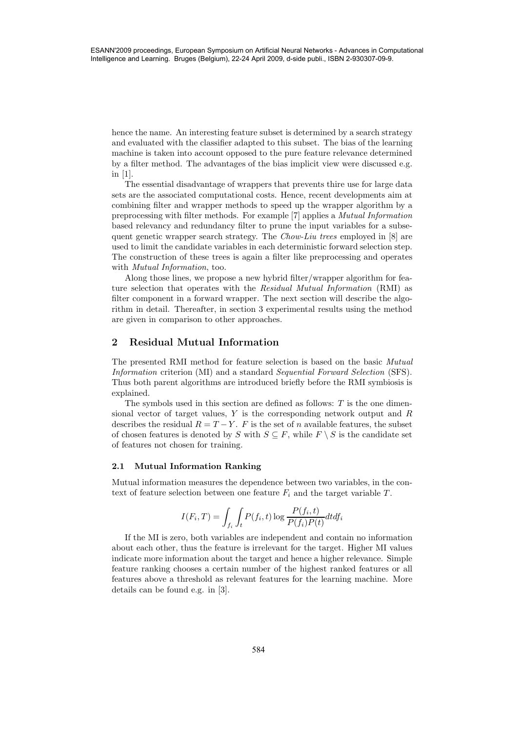hence the name. An interesting feature subset is determined by a search strategy and evaluated with the classifier adapted to this subset. The bias of the learning machine is taken into account opposed to the pure feature relevance determined by a filter method. The advantages of the bias implicit view were discussed e.g. in [1].

The essential disadvantage of wrappers that prevents thire use for large data sets are the associated computational costs. Hence, recent developments aim at combining filter and wrapper methods to speed up the wrapper algorithm by a preprocessing with filter methods. For example [7] applies a *Mutual Information* based relevancy and redundancy filter to prune the input variables for a subsequent genetic wrapper search strategy. The *Chow-Liu trees* employed in [8] are used to limit the candidate variables in each deterministic forward selection step. The construction of these trees is again a filter like preprocessing and operates with *Mutual Information*, too.

Along those lines, we propose a new hybrid filter/wrapper algorithm for feature selection that operates with the *Residual Mutual Information* (RMI) as filter component in a forward wrapper. The next section will describe the algorithm in detail. Thereafter, in section 3 experimental results using the method are given in comparison to other approaches.

# **2 Residual Mutual Information**

The presented RMI method for feature selection is based on the basic *Mutual Information* criterion (MI) and a standard *Sequential Forward Selection* (SFS). Thus both parent algorithms are introduced briefly before the RMI symbiosis is explained.

The symbols used in this section are defined as follows: *T* is the one dimensional vector of target values, *Y* is the corresponding network output and *R* describes the residual  $R = T - Y$ . *F* is the set of *n* available features, the subset of chosen features is denoted by *S* with  $S \subseteq F$ , while  $F \setminus S$  is the candidate set of features not chosen for training.

#### **2.1 Mutual Information Ranking**

Mutual information measures the dependence between two variables, in the context of feature selection between one feature  $F_i$  and the target variable  $T$ .

$$
I(F_i, T) = \int_{f_i} \int_t P(f_i, t) \log \frac{P(f_i, t)}{P(f_i)P(t)} dt df_i
$$

If the MI is zero, both variables are independent and contain no information about each other, thus the feature is irrelevant for the target. Higher MI values indicate more information about the target and hence a higher relevance. Simple feature ranking chooses a certain number of the highest ranked features or all features above a threshold as relevant features for the learning machine. More details can be found e.g. in [3].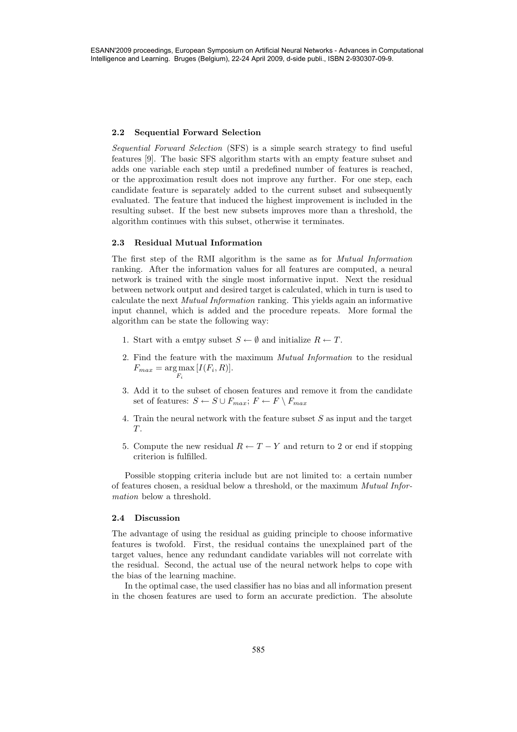#### **2.2 Sequential Forward Selection**

*Sequential Forward Selection* (SFS) is a simple search strategy to find useful features [9]. The basic SFS algorithm starts with an empty feature subset and adds one variable each step until a predefined number of features is reached, or the approximation result does not improve any further. For one step, each candidate feature is separately added to the current subset and subsequently evaluated. The feature that induced the highest improvement is included in the resulting subset. If the best new subsets improves more than a threshold, the algorithm continues with this subset, otherwise it terminates.

## **2.3 Residual Mutual Information**

The first step of the RMI algorithm is the same as for *Mutual Information* ranking. After the information values for all features are computed, a neural network is trained with the single most informative input. Next the residual between network output and desired target is calculated, which in turn is used to calculate the next *Mutual Information* ranking. This yields again an informative input channel, which is added and the procedure repeats. More formal the algorithm can be state the following way:

- 1. Start with a emtpy subset  $S \leftarrow \emptyset$  and initialize  $R \leftarrow T$ .
- 2. Find the feature with the maximum *Mutual Information* to the residual  $F_{max} = \underset{F_i}{\arg \max} [I(F_i, R)].$
- 3. Add it to the subset of chosen features and remove it from the candidate set of features:  $S \leftarrow S \cup F_{max}$ ;  $F \leftarrow F \setminus F_{max}$
- 4. Train the neural network with the feature subset *S* as input and the target *T* .
- 5. Compute the new residual  $R \leftarrow T Y$  and return to 2 or end if stopping criterion is fulfilled.

Possible stopping criteria include but are not limited to: a certain number of features chosen, a residual below a threshold, or the maximum *Mutual Information* below a threshold.

### **2.4 Discussion**

The advantage of using the residual as guiding principle to choose informative features is twofold. First, the residual contains the unexplained part of the target values, hence any redundant candidate variables will not correlate with the residual. Second, the actual use of the neural network helps to cope with the bias of the learning machine.

In the optimal case, the used classifier has no bias and all information present in the chosen features are used to form an accurate prediction. The absolute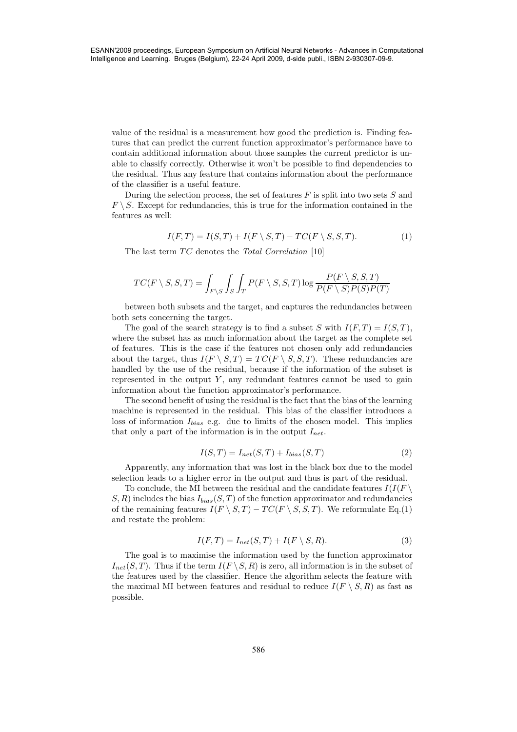value of the residual is a measurement how good the prediction is. Finding features that can predict the current function approximator's performance have to contain additional information about those samples the current predictor is unable to classify correctly. Otherwise it won't be possible to find dependencies to the residual. Thus any feature that contains information about the performance of the classifier is a useful feature.

During the selection process, the set of features *F* is split into two sets *S* and  $F \setminus S$ . Except for redundancies, this is true for the information contained in the features as well:

$$
I(F,T) = I(S,T) + I(F \setminus S,T) - TC(F \setminus S,S,T). \tag{1}
$$

The last term  $TC$  denotes the *Total Correlation* [10]

$$
TC(F\setminus S,S,T)=\int_{F\setminus S}\int_S\int_T P(F\setminus S,S,T)\log\frac{P(F\setminus S,S,T)}{P(F\setminus S)P(S)P(T)}
$$

between both subsets and the target, and captures the redundancies between both sets concerning the target.

The goal of the search strategy is to find a subset *S* with  $I(F, T) = I(S, T)$ , where the subset has as much information about the target as the complete set of features. This is the case if the features not chosen only add redundancies about the target, thus  $I(F \setminus S, T) = TC(F \setminus S, S, T)$ . These redundancies are handled by the use of the residual, because if the information of the subset is represented in the output  $Y$ , any redundant features cannot be used to gain information about the function approximator's performance.

The second benefit of using the residual is the fact that the bias of the learning machine is represented in the residual. This bias of the classifier introduces a loss of information *Ibias* e.g. due to limits of the chosen model. This implies that only a part of the information is in the output *Inet*.

$$
I(S,T) = I_{net}(S,T) + I_{bias}(S,T)
$$
\n
$$
(2)
$$

Apparently, any information that was lost in the black box due to the model selection leads to a higher error in the output and thus is part of the residual.

To conclude, the MI between the residual and the candidate features  $I(I(F \setminus$  $S, R$ ) includes the bias  $I_{bias}(S, T)$  of the function approximator and redundancies of the remaining features  $I(F \setminus S, T) - TC(F \setminus S, S, T)$ . We reformulate Eq.(1) and restate the problem:

$$
I(F,T) = I_{net}(S,T) + I(F \setminus S,R). \tag{3}
$$

The goal is to maximise the information used by the function approximator  $I_{net}(S, T)$ . Thus if the term  $I(F \setminus S, R)$  is zero, all information is in the subset of the features used by the classifier. Hence the algorithm selects the feature with the maximal MI between features and residual to reduce  $I(F \setminus S, R)$  as fast as possible.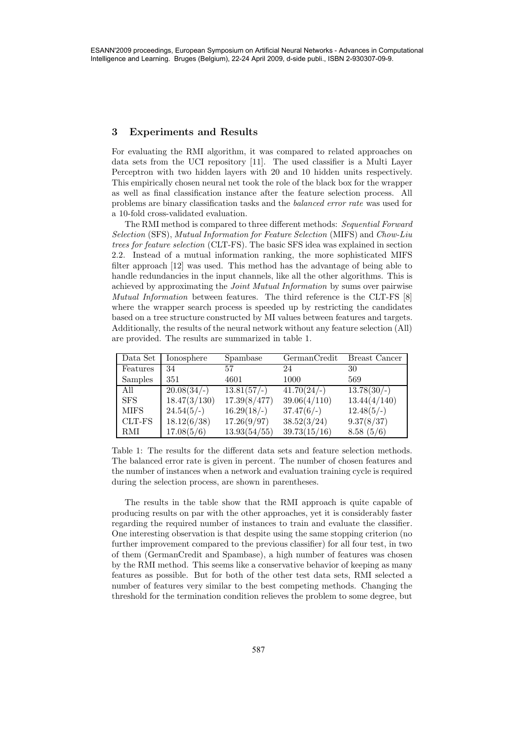#### **3 Experiments and Results**

For evaluating the RMI algorithm, it was compared to related approaches on data sets from the UCI repository [11]. The used classifier is a Multi Layer Perceptron with two hidden layers with 20 and 10 hidden units respectively. This empirically chosen neural net took the role of the black box for the wrapper as well as final classification instance after the feature selection process. All problems are binary classification tasks and the *balanced error rate* was used for a 10-fold cross-validated evaluation.

The RMI method is compared to three different methods: *Sequential Forward Selection* (SFS), *Mutual Information for Feature Selection* (MIFS) and *Chow-Liu trees for feature selection* (CLT-FS). The basic SFS idea was explained in section 2.2. Instead of a mutual information ranking, the more sophisticated MIFS filter approach [12] was used. This method has the advantage of being able to handle redundancies in the input channels, like all the other algorithms. This is achieved by approximating the *Joint Mutual Information* by sums over pairwise *Mutual Information* between features. The third reference is the CLT-FS [8] where the wrapper search process is speeded up by restricting the candidates based on a tree structure constructed by MI values between features and targets. Additionally, the results of the neural network without any feature selection (All) are provided. The results are summarized in table 1.

| Data Set    | Ionosphere         | Spambase      | GermanCredit  | Breast Cancer |
|-------------|--------------------|---------------|---------------|---------------|
| Features    | 34                 | 57            | 24            | 30            |
| Samples     | 351                | 4601          | 1000          | 569           |
| All         | $20.08\sqrt{34/-}$ | $13.81(57/-)$ | $41.70(24/-)$ | $13.78(30/-)$ |
| <b>SFS</b>  | 18.47(3/130)       | 17.39(8/477)  | 39.06(4/110)  | 13.44(4/140)  |
| <b>MIFS</b> | $24.54(5/-)$       | $16.29(18/-)$ | $37.47(6/-)$  | $12.48(5/-)$  |
| CLT-FS      | 18.12(6/38)        | 17.26(9/97)   | 38.52(3/24)   | 9.37(8/37)    |
| RMI         | 17.08(5/6)         | 13.93(54/55)  | 39.73(15/16)  | 8.58(5/6)     |

Table 1: The results for the different data sets and feature selection methods. The balanced error rate is given in percent. The number of chosen features and the number of instances when a network and evaluation training cycle is required during the selection process, are shown in parentheses.

The results in the table show that the RMI approach is quite capable of producing results on par with the other approaches, yet it is considerably faster regarding the required number of instances to train and evaluate the classifier. One interesting observation is that despite using the same stopping criterion (no further improvement compared to the previous classifier) for all four test, in two of them (GermanCredit and Spambase), a high number of features was chosen by the RMI method. This seems like a conservative behavior of keeping as many features as possible. But for both of the other test data sets, RMI selected a number of features very similar to the best competing methods. Changing the threshold for the termination condition relieves the problem to some degree, but